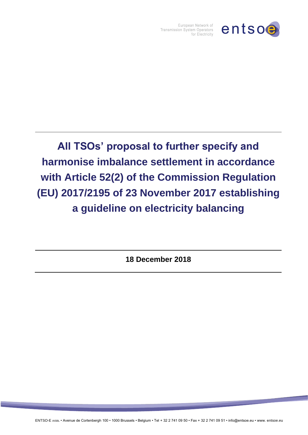

European Network of<br>Transmission System Operators for Electricity

**All TSOs' proposal to further specify and harmonise imbalance settlement in accordance with Article 52(2) of the Commission Regulation (EU) 2017/2195 of 23 November 2017 establishing a guideline on electricity balancing**

**18 December 2018**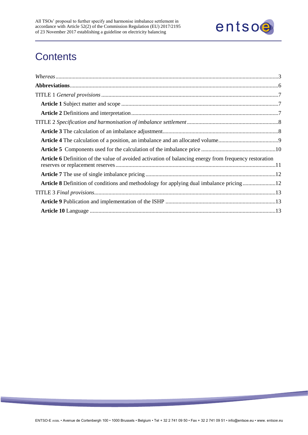

# **Contents**

| <b>Article 6</b> Definition of the value of avoided activation of balancing energy from frequency restoration |  |
|---------------------------------------------------------------------------------------------------------------|--|
|                                                                                                               |  |
|                                                                                                               |  |
|                                                                                                               |  |
|                                                                                                               |  |
|                                                                                                               |  |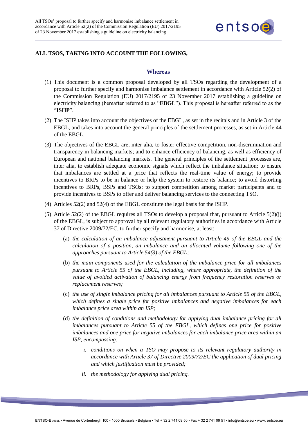

## <span id="page-2-0"></span>**ALL TSOS, TAKING INTO ACCOUNT THE FOLLOWING,**

#### **Whereas**

- (1) This document is a common proposal developed by all TSOs regarding the development of a proposal to further specify and harmonise imbalance settlement in accordance with Article 52(2) of the Commission Regulation (EU) 2017/2195 of 23 November 2017 establishing a guideline on electricity balancing (hereafter referred to as "**EBGL**"). This proposal is hereafter referred to as the "**ISHP**".
- (2) The ISHP takes into account the objectives of the EBGL, as set in the recitals and in Article 3 of the EBGL, and takes into account the general principles of the settlement processes, as set in Article 44 of the EBGL.
- (3) The objectives of the EBGL are, inter alia, to foster effective competition, non-discrimination and transparency in balancing markets; and to enhance efficiency of balancing, as well as efficiency of European and national balancing markets. The general principles of the settlement processes are, inter alia, to establish adequate economic signals which reflect the imbalance situation; to ensure that imbalances are settled at a price that reflects the real-time value of energy; to provide incentives to BRPs to be in balance or help the system to restore its balance; to avoid distorting incentives to BRPs, BSPs and TSOs; to support competition among market participants and to provide incentives to BSPs to offer and deliver balancing services to the connecting TSO.
- (4) Articles 52(2) and 52(4) of the EBGL constitute the legal basis for the ISHP.
- (5) Article 52(2) of the EBGL requires all TSOs to develop a proposal that, pursuant to Article  $5(2)(i)$ of the EBGL, is subject to approval by all relevant regulatory authorities in accordance with Article 37 of Directive 2009/72/EC, to further specify and harmonise, at least:
	- (a) *the calculation of an imbalance adjustment pursuant to Article 49 of the EBGL and the calculation of a position, an imbalance and an allocated volume following one of the approaches pursuant to Article 54(3) of the EBGL;*
	- (b) *the main components used for the calculation of the imbalance price for all imbalances pursuant to Article 55 of the EBGL, including, where appropriate, the definition of the value of avoided activation of balancing energy from frequency restoration reserves or replacement reserves;*
	- (c) *the use of single imbalance pricing for all imbalances pursuant to Article 55 of the EBGL, which defines a single price for positive imbalances and negative imbalances for each imbalance price area within an ISP;*
	- (d) *the definition of conditions and methodology for applying dual imbalance pricing for all imbalances pursuant to Article 55 of the EBGL, which defines one price for positive imbalances and one price for negative imbalances for each imbalance price area within an ISP, encompassing:* 
		- *i. conditions on when a TSO may propose to its relevant regulatory authority in accordance with Article 37 of Directive 2009/72/EC the application of dual pricing and which justification must be provided;*
		- *ii. the methodology for applying dual pricing.*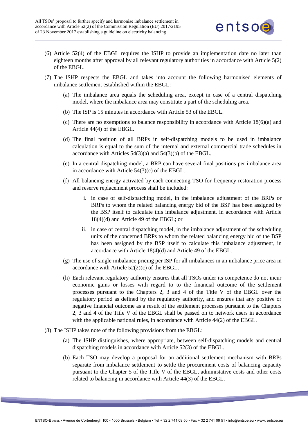

- (6) Article 52(4) of the EBGL requires the ISHP to provide an implementation date no later than eighteen months after approval by all relevant regulatory authorities in accordance with Article 5(2) of the EBGL.
- (7) The ISHP respects the EBGL and takes into account the following harmonised elements of imbalance settlement established within the EBGL:
	- (a) The imbalance area equals the scheduling area, except in case of a central dispatching model, where the imbalance area may constitute a part of the scheduling area.
	- (b) The ISP is 15 minutes in accordance with Article 53 of the EBGL.
	- (c) There are no exemptions to balance responsibility in accordance with Article 18(6)(a) and Article 44(4) of the EBGL.
	- (d) The final position of all BRPs in self-dispatching models to be used in imbalance calculation is equal to the sum of the internal and external commercial trade schedules in accordance with Articles 54(3)(a) and 54(3)(b) of the EBGL.
	- (e) In a central dispatching model, a BRP can have several final positions per imbalance area in accordance with Article 54(3)(c) of the EBGL.
	- (f) All balancing energy activated by each connecting TSO for frequency restoration process and reserve replacement process shall be included:
		- i. in case of self-dispatching model, in the imbalance adjustment of the BRPs or BRPs to whom the related balancing energy bid of the BSP has been assigned by the BSP itself to calculate this imbalance adjustment, in accordance with Article 18(4)(d) and Article 49 of the EBGL; or
		- ii. in case of central dispatching model, in the imbalance adjustment of the scheduling units of the concerned BRPs to whom the related balancing energy bid of the BSP has been assigned by the BSP itself to calculate this imbalance adjustment, in accordance with Article 18(4)(d) and Article 49 of the EBGL.
	- (g) The use of single imbalance pricing per ISP for all imbalances in an imbalance price area in accordance with Article 52(2)(c) of the EBGL.
	- (h) Each relevant regulatory authority ensures that all TSOs under its competence do not incur economic gains or losses with regard to to the financial outcome of the settlement processes pursuant to the Chapters 2, 3 and 4 of the Title V of the EBGL over the regulatory period as defined by the regulatory authority, and ensures that any positive or negative financial outcome as a result of the settlement processes pursuant to the Chapters 2, 3 and 4 of the Title V of the EBGL shall be passed on to network users in accordance with the applicable national rules, in accordance with Article 44(2) of the EBGL.
- (8) The ISHP takes note of the following provisions from the EBGL:
	- (a) The ISHP distinguishes, where appropriate, between self-dispatching models and central dispatching models in accordance with Article 52(3) of the EBGL.
	- (b) Each TSO may develop a proposal for an additional settlement mechanism with BRPs separate from imbalance settlement to settle the procurement costs of balancing capacity pursuant to the Chapter 5 of the Title V of the EBGL, administative costs and other costs related to balancing in accordance with Article 44(3) of the EBGL.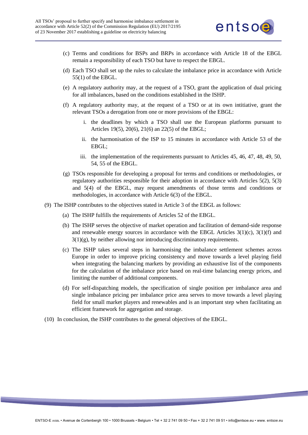

- (c) Terms and conditions for BSPs and BRPs in accordance with Article 18 of the EBGL remain a responsibility of each TSO but have to respect the EBGL.
- (d) Each TSO shall set up the rules to calculate the imbalance price in accordance with Article 55(1) of the EBGL.
- (e) A regulatory authority may, at the request of a TSO, grant the application of dual pricing for all imbalances, based on the conditions established in the ISHP.
- (f) A regulatory authority may, at the request of a TSO or at its own intitiative, grant the relevant TSOs a derogation from one or more provisions of the EBGL:
	- i. the deadlines by which a TSO shall use the European platforms pursuant to Articles 19(5), 20(6), 21(6) an 22(5) of the EBGL;
	- ii. the harmonisation of the ISP to 15 minutes in accordance with Article 53 of the EBGL;
	- iii. the implementation of the requirements pursuant to Articles 45, 46, 47, 48, 49, 50, 54, 55 of the EBGL.
- (g) TSOs responsible for developing a proposal for terms and conditions or methodologies, or regulatory authorities responsible for their adoption in accordance with Articles 5(2), 5(3) and 5(4) of the EBGL, may request amendments of those terms and conditions or methodologies, in accordance with Article 6(3) of the EBGL.
- (9) The ISHP contributes to the objectives stated in Article 3 of the EBGL as follows:
	- (a) The ISHP fulfills the requirements of Articles 52 of the EBGL.
	- (b) The ISHP serves the objective of market operation and facilitation of demand-side response and renewable energy sources in accordance with the EBGL Articles  $3(1)(c)$ ,  $3(1)(f)$  and 3(1)(g), by neither allowing nor introducing discriminatory requirements.
	- (c) The ISHP takes several steps in harmonising the imbalance settlement schemes across Europe in order to improve pricing consistency and move towards a level playing field when integrating the balancing markets by providing an exhaustive list of the components for the calculation of the imbalance price based on real-time balancing energy prices, and limiting the number of additional components.
	- (d) For self-dispatching models, the specification of single position per imbalance area and single imbalance pricing per imbalance price area serves to move towards a level playing field for small market players and renewables and is an important step when facilitating an efficient framework for aggregation and storage.
- (10) In conclusion, the ISHP contributes to the general objectives of the EBGL.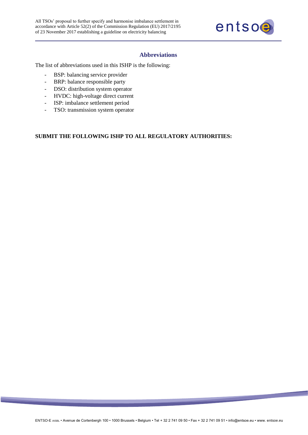

#### **Abbreviations**

<span id="page-5-0"></span>The list of abbreviations used in this ISHP is the following:

- BSP: balancing service provider
- BRP: balance responsible party
- DSO: distribution system operator
- HVDC: high-voltage direct current
- ISP: imbalance settlement period
- TSO: transmission system operator

#### **SUBMIT THE FOLLOWING ISHP TO ALL REGULATORY AUTHORITIES:**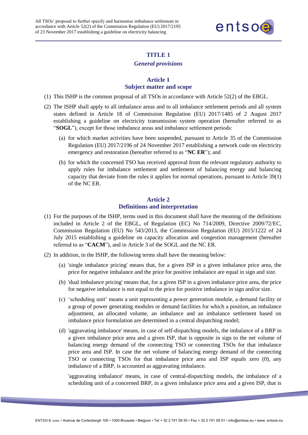

## **TITLE 1**

#### *General provisions*

#### **Article 1 Subject matter and scope**

- <span id="page-6-1"></span><span id="page-6-0"></span>(1) This ISHP is the common proposal of all TSOs in accordance with Article 52(2) of the EBGL.
- (2) The ISHP shall apply to all imbalance areas and to all imbalance settlement periods and all system states defined in Article 18 of Commission Regulation (EU) 2017/1485 of 2 August 2017 establishing a guideline on electricity transmission system operation (hereafter referred to as "**SOGL**"), except for those imbalance areas and imbalance settlement periods:
	- (a) for which market activities have been suspended, pursuant to Article 35 of the Commission Regulation (EU) 2017/2196 of 24 November 2017 establishing a network code on electricity emergency and restoration (hereafter referred to as "**NC ER**"); and
	- (b) for which the concerned TSO has received approval from the relevant regulatory authority to apply rules for imbalance settlement and settlement of balancing energy and balancing capacity that deviate from the rules it applies for normal operations, pursuant to Article 39(1) of the NC ER.

## **Article 2 Definitions and interpretation**

- <span id="page-6-2"></span>(1) For the purposes of the ISHP, terms used in this document shall have the meaning of the definitions included in Article 2 of the EBGL, of Regulation (EC) No 714/2009, Directive 2009/72/EC, Commission Regulation (EU) No 543/2013, the Commission Regulation (EU) 2015/1222 of 24 July 2015 establishing a guideline on capacity allocation and congestion management (hereafter referred to as "**CACM**"), and in Article 3 of the SOGL and the NC ER.
- (2) In addition, in the ISHP, the following terms shall have the meaning below:
	- (a) 'single imbalance pricing' means that, for a given ISP in a given imbalance price area, the price for negative imbalance and the price for positive imbalance are equal in sign and size.
	- (b) 'dual imbalance pricing' means that, for a given ISP in a given imbalance price area, the price for negative imbalance is not equal to the price for positive imbalance in sign and/or size.
	- (c) 'scheduling unit' means a unit representing a power generation module, a demand facility or a group of power generating modules or demand facilities for which a position, an imbalance adjustment, an allocated volume, an imbalance and an imbalance settlement based on imbalance price formulation are determined in a central dispatching model;
	- (d) 'aggravating imbalance' means, in case of self-dispatching models, the imbalance of a BRP in a given imbalance price area and a given ISP, that is opposite in sign to the net volume of balancing energy demand of the connecting TSO or connecting TSOs for that imbalance price area and ISP. In case the net volume of balancing energy demand of the connecting TSO or connecting TSOs for that imbalance price area and ISP equals zero (0), any imbalance of a BRP, is accounted as aggravating imbalance.

'aggravating imbalance' means, in case of central-dispatching models, the imbalance of a scheduling unit of a concerned BRP, in a given imbalance price area and a given ISP, that is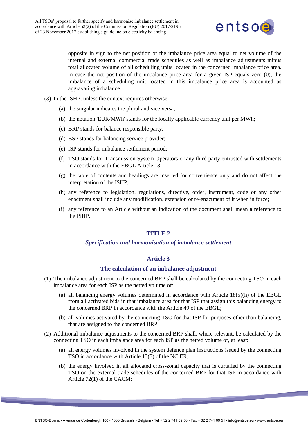

opposite in sign to the net position of the imbalance price area equal to net volume of the internal and external commercial trade schedules as well as imbalance adjustments minus total allocated volume of all scheduling units located in the concerned imbalance price area. In case the net position of the imbalance price area for a given ISP equals zero (0), the imbalance of a scheduling unit located in this imbalance price area is accounted as aggravating imbalance.

- (3) In the ISHP, unless the context requires otherwise:
	- (a) the singular indicates the plural and vice versa;
	- (b) the notation 'EUR/MWh' stands for the locally applicable currency unit per MWh;
	- (c) BRP stands for balance responsible party;
	- (d) BSP stands for balancing service provider;
	- (e) ISP stands for imbalance settlement period;
	- (f) TSO stands for Transmission System Operators or any third party entrusted with settlements in accordance with the EBGL Article 13;
	- (g) the table of contents and headings are inserted for convenience only and do not affect the interpretation of the ISHP;
	- (h) any reference to legislation, regulations, directive, order, instrument, code or any other enactment shall include any modification, extension or re-enactment of it when in force;
	- (i) any reference to an Article without an indication of the document shall mean a reference to the ISHP.

## **TITLE 2**

#### *Specification and harmonisation of imbalance settlement*

#### **Article 3**

#### **The calculation of an imbalance adjustment**

- <span id="page-7-2"></span><span id="page-7-1"></span><span id="page-7-0"></span>(1) The imbalance adjustment to the concerned BRP shall be calculated by the connecting TSO in each imbalance area for each ISP as the netted volume of:
	- (a) all balancing energy volumes determined in accordance with Article 18(5)(h) of the EBGL from all activated bids in that imbalance area for that ISP that assign this balancing energy to the concerned BRP in accordance with the Article 49 of the EBGL;
	- (b) all volumes activated by the connecting TSO for that ISP for purposes other than balancing, that are assigned to the concerned BRP.
- (2) Additional imbalance adjustments to the concerned BRP shall, where relevant, be calculated by the connecting TSO in each imbalance area for each ISP as the netted volume of, at least:
	- (a) all energy volumes involved in the system defence plan instructions issued by the connecting TSO in accordance with Article 13(3) of the NC ER;
	- (b) the energy involved in all allocated cross-zonal capacity that is curtailed by the connecting TSO on the external trade schedules of the concerned BRP for that ISP in accordance with Article 72(1) of the CACM;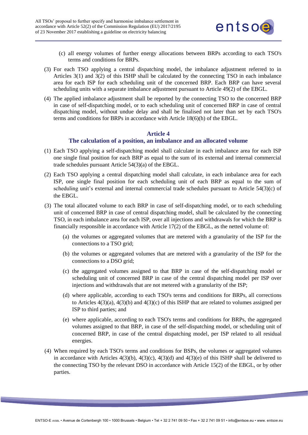

- (c) all energy volumes of further energy allocations between BRPs according to each TSO's terms and conditions for BRPs.
- (3) For each TSO applying a central dispatching model, the imbalance adjustment referred to in Articles 3(1) and 3(2) of this ISHP shall be calculated by the connecting TSO in each imbalance area for each ISP for each scheduling unit of the concerned BRP. Each BRP can have several scheduling units with a separate imbalance adjustment pursuant to Article 49(2) of the EBGL.
- (4) The applied imbalance adjustment shall be reported by the connecting TSO to the concerned BRP in case of self-dispatching model, or to each scheduling unit of concerned BRP in case of central dispatching model, without undue delay and shall be finalised not later than set by each TSO's terms and conditions for BRPs in accordance with Article 18(6)(h) of the EBGL.

## **Article 4**

## **The calculation of a position, an imbalance and an allocated volume**

- <span id="page-8-0"></span>(1) Each TSO applying a self-dispatching model shall calculate in each imbalance area for each ISP one single final position for each BRP as equal to the sum of its external and internal commercial trade schedules pursuant Article 54(3)(a) of the EBGL.
- (2) Each TSO applying a central dispatching model shall calculate, in each imbalance area for each ISP, one single final position for each scheduling unit of each BRP as equal to the sum of scheduling unit's external and internal commercial trade schedules pursuant to Article 54(3)(c) of the EBGL.
- (3) The total allocated volume to each BRP in case of self-dispatching model, or to each scheduling unit of concerned BRP in case of central dispatching model, shall be calculated by the connecting TSO, in each imbalance area for each ISP, over all injections and withdrawals for which the BRP is financially responsible in accordance with Article 17(2) of the EBGL, as the netted volume of:
	- (a) the volumes or aggregated volumes that are metered with a granularity of the ISP for the connections to a TSO grid;
	- (b) the volumes or aggregated volumes that are metered with a granularity of the ISP for the connections to a DSO grid;
	- (c) the aggregated volumes assigned to that BRP in case of the self-dispatching model or scheduling unit of concerned BRP in case of the central dispatching model per ISP over injections and withdrawals that are not metered with a granularity of the ISP;
	- (d) where applicable, according to each TSO's terms and conditions for BRPs, all corrections to Articles  $4(3)(a)$ ,  $4(3)(b)$  and  $4(3)(c)$  of this ISHP that are related to volumes assigned per ISP to third parties; and
	- (e) where applicable, according to each TSO's terms and conditions for BRPs, the aggregated volumes assigned to that BRP, in case of the self-dispatching model, or scheduling unit of concerned BRP, in case of the central dispatching model, per ISP related to all residual energies.
- (4) When required by each TSO's terms and conditions for BSPs, the volumes or aggregated volumes in accordance with Articles  $4(3)(b)$ ,  $4(3)(c)$ ,  $4(3)(d)$  and  $4(3)(e)$  of this ISHP shall be delivered to the connecting TSO by the relevant DSO in accordance with Article 15(2) of the EBGL, or by other parties.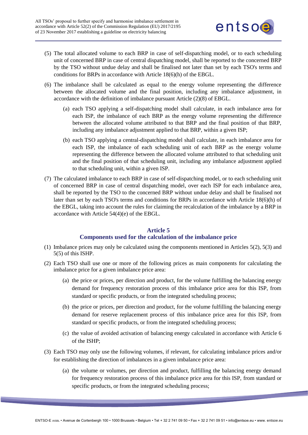

- (5) The total allocated volume to each BRP in case of self-dispatching model, or to each scheduling unit of concerned BRP in case of central dispatching model, shall be reported to the concerned BRP by the TSO without undue delay and shall be finalised not later than set by each TSO's terms and conditions for BRPs in accordance with Article 18(6)(h) of the EBGL.
- (6) The imbalance shall be calculated as equal to the energy volume representing the difference between the allocated volume and the final position, including any imbalance adjustment, in accordance with the definition of imbalance pursuant Article (2)(8) of EBGL.
	- (a) each TSO applying a self-dispatching model shall calculate, in each imbalance area for each ISP, the imbalance of each BRP as the energy volume representing the difference between the allocated volume attributed to that BRP and the final position of that BRP, including any imbalance adjustment applied to that BRP, within a given ISP;
	- (b) each TSO applying a central-dispatching model shall calculate, in each imbalance area for each ISP, the imbalance of each scheduling unit of each BRP as the energy volume representing the difference between the allocated volume attributed to that scheduling unit and the final position of that scheduling unit, including any imbalance adjustment applied to that scheduling unit, within a given ISP.
- (7) The calculated imbalance to each BRP in case of self-dispatching model, or to each scheduling unit of concerned BRP in case of central dispatching model, over each ISP for each imbalance area, shall be reported by the TSO to the concerned BRP without undue delay and shall be finalised not later than set by each TSO's terms and conditions for BRPs in accordance with Article 18(6)(h) of the EBGL, taking into account the rules for claiming the recalculation of the imbalance by a BRP in accordance with Article 54(4)(e) of the EBGL.

#### **Article 5**

## **Components used for the calculation of the imbalance price**

- <span id="page-9-0"></span>(1) Imbalance prices may only be calculated using the components mentioned in Articles 5(2), 5(3) and 5(5) of this ISHP.
- (2) Each TSO shall use one or more of the following prices as main components for calculating the imbalance price for a given imbalance price area:
	- (a) the price or prices, per direction and product, for the volume fulfilling the balancing energy demand for frequency restoration process of this imbalance price area for this ISP, from standard or specific products, or from the integrated scheduling process;
	- (b) the price or prices, per direction and product, for the volume fulfilling the balancing energy demand for reserve replacement process of this imbalance price area for this ISP, from standard or specific products, or from the integrated scheduling process;
	- (c) the value of avoided activation of balancing energy calculated in accordance with Article 6 of the ISHP;
- (3) Each TSO may only use the following volumes, if relevant, for calculating imbalance prices and/or for establishing the direction of imbalances in a given imbalance price area:
	- (a) the volume or volumes, per direction and product, fulfilling the balancing energy demand for frequency restoration process of this imbalance price area for this ISP, from standard or specific products, or from the integrated scheduling process;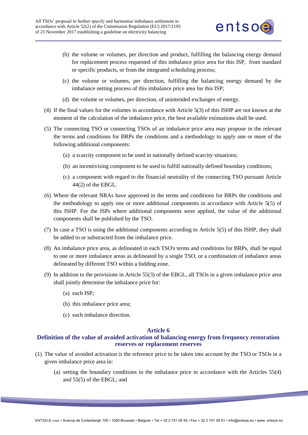

- (b) the volume or volumes, per direction and product, fulfilling the balancing energy demand for replacement process requested of this imbalance price area for this ISP, from standard or specific products, or from the integrated scheduling process;
- (c) the volume or volumes, per direction, fulfilling the balancing energy demand by the imbalance netting process of this imbalance price area for this ISP;
- (d) the volume or volumes, per direction, of unintended exchanges of energy.
- (4) If the final values for the volumes in accordance with Article 5(3) of this ISHP are not known at the moment of the calculation of the imbalance price, the best available estimations shall be used.
- (5) The connecting TSO or connecting TSOs of an imbalance price area may propose in the relevant the terms and conditions for BRPs the conditions and a methodology to apply one or more of the following additional components:
	- (a) a scarcity component to be used in nationally defined scarcity situations;
	- (b) an incentivising component to be used to fulfill nationally defined boundary conditions;
	- (c) a component with regard to the financial neutrality of the connecting TSO pursuant Article 44(2) of the EBGL.
- (6) Where the relevant NRAs have approved in the terms and conditions for BRPs the conditions and the methodology to apply one or more additional components in accordance with Article 5(5) of this ISHP. For the ISPs where additional components were applied, the value of the additional components shall be published by the TSO.
- (7) In case a TSO is using the additional components according to Article 5(5) of this ISHP, they shall be added to or substracted from the imbalance price.
- (8) An imbalance price area, as delineated in each TSO's terms and conditions for BRPs, shall be equal to one or more imbalance areas as delineated by a single TSO, or a combination of imbalance areas delineated by different TSO within a bidding zone.
- (9) In addition to the provisions in Article 55(3) of the EBGL, all TSOs in a given imbalance price area shall jointly determine the imbalance price for:
	- (a) each ISP;
	- (b) this imbalance price area;
	- (c) each imbalance direction.

#### **Article 6**

## <span id="page-10-0"></span>**Definition of the value of avoided activation of balancing energy from frequency restoration reserves or replacement reserves**

- (1) The value of avoided activation is the reference price to be taken into account by the TSO or TSOs in a given imbalance price area in:
	- (a) setting the boundary conditions to the imbalance price in accordance with the Articles 55(4) and 55(5) of the EBGL; and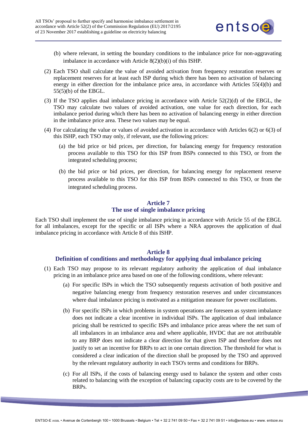

- (b) where relevant, in setting the boundary conditions to the imbalance price for non-aggravating imbalance in accordance with Article 8(2)(b)(i) of this ISHP.
- (2) Each TSO shall calculate the value of avoided activation from frequency restoration reserves or replacement reserves for at least each ISP during which there has been no activation of balancing energy in either direction for the imbalance price area, in accordance with Articles 55(4)(b) and 55(5)(b) of the EBGL.
- (3) If the TSO applies dual imbalance pricing in accordance with Article 52(2)(d) of the EBGL, the TSO may calculate two values of avoided activation, one value for each direction, for each imbalance period during which there has been no activation of balancing energy in either direction in the imbalance price area. These two values may be equal.
- (4) For calculating the value or values of avoided activation in accordance with Articles 6(2) or 6(3) of this ISHP, each TSO may only, if relevant, use the following prices:
	- (a) the bid price or bid prices, per direction, for balancing energy for frequency restoration process available to this TSO for this ISP from BSPs connected to this TSO, or from the integrated scheduling process;
	- (b) the bid price or bid prices, per direction, for balancing energy for replacement reserve process available to this TSO for this ISP from BSPs connected to this TSO, or from the integrated scheduling process.

#### **Article 7 The use of single imbalance pricing**

<span id="page-11-0"></span>Each TSO shall implement the use of single imbalance pricing in accordance with Article 55 of the EBGL for all imbalances, except for the specific or all ISPs where a NRA approves the application of dual imbalance pricing in accordance with Article 8 of this ISHP.

## **Article 8**

## **Definition of conditions and methodology for applying dual imbalance pricing**

- <span id="page-11-1"></span>(1) Each TSO may propose to its relevant regulatory authority the application of dual imbalance pricing in an imbalance price area based on one of the following conditions, where relevant:
	- (a) For specific ISPs in which the TSO subsequently requests activation of both positive and negative balancing energy from frequency restoration reserves and under circumstances where dual imbalance pricing is motivated as a mitigation measure for power oscillations.
	- (b) For specific ISPs in which problems in system operations are foreseen as system imbalance does not indicate a clear incentive in individual ISPs. The application of dual imbalance pricing shall be restricted to specific ISPs and imbalance price areas where the net sum of all imbalances in an imbalance area and where applicable, HVDC that are not attributable to any BRP does not indicate a clear direction for that given ISP and therefore does not justify to set an incentive for BRPs to act in one certain direction. The threshold for what is considered a clear indication of the direction shall be proposed by the TSO and approved by the relevant regulatory authority in each TSO's terms and conditions for BRPs.
	- (c) For all ISPs, if the costs of balancing energy used to balance the system and other costs related to balancing with the exception of balancing capacity costs are to be covered by the BRPs.